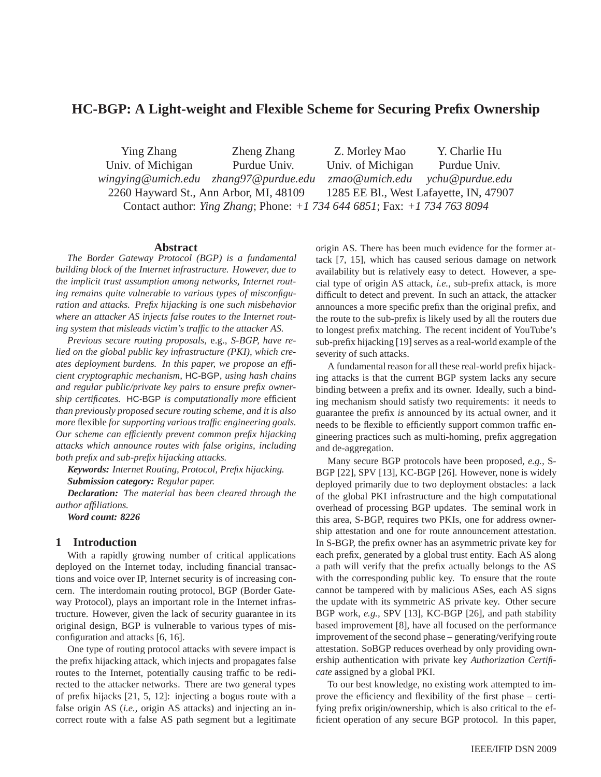# **HC-BGP: A Light-weight and Flexible Scheme for Securing Prefix Ownership**

Ying Zhang Zheng Zhang Z. Morley Mao Y. Charlie Hu Univ. of Michigan Purdue Univ. Univ. of Michigan Purdue Univ. *wingying@umich.edu zhang97@purdue.edu zmao@umich.edu ychu@purdue.edu* 2260 Hayward St., Ann Arbor, MI, 48109 1285 EE Bl., West Lafayette, IN, 47907 Contact author: *Ying Zhang*; Phone: *+1 734 644 6851*; Fax: *+1 734 763 8094*

#### **Abstract**

*The Border Gateway Protocol (BGP) is a fundamental building block of the Internet infrastructure. However, due to the implicit trust assumption among networks, Internet routing remains quite vulnerable to various types of misconfiguration and attacks. Prefix hijacking is one such misbehavior where an attacker AS injects false routes to the Internet routing system that misleads victim's traffic to the attacker AS.*

*Previous secure routing proposals,* e.g., *S-BGP, have relied on the global public key infrastructure (PKI), which creates deployment burdens. In this paper, we propose an efficient cryptographic mechanism,* HC-BGP*, using hash chains and regular public/private key pairs to ensure prefix ownership certificates.* HC-BGP *is computationally more* efficient *than previously proposed secure routing scheme, and it is also more* flexible *for supporting various traffic engineering goals. Our scheme can efficiently prevent common prefix hijacking attacks which announce routes with false origins, including both prefix and sub-prefix hijacking attacks.*

*Keywords: Internet Routing, Protocol, Prefix hijacking. Submission category: Regular paper.*

*Declaration: The material has been cleared through the author affiliations.*

*Word count: 8226*

### **1 Introduction**

With a rapidly growing number of critical applications deployed on the Internet today, including financial transactions and voice over IP, Internet security is of increasing concern. The interdomain routing protocol, BGP (Border Gateway Protocol), plays an important role in the Internet infrastructure. However, given the lack of security guarantee in its original design, BGP is vulnerable to various types of misconfiguration and attacks [6, 16].

One type of routing protocol attacks with severe impact is the prefix hijacking attack, which injects and propagates false routes to the Internet, potentially causing traffic to be redirected to the attacker networks. There are two general types of prefix hijacks [21, 5, 12]: injecting a bogus route with a false origin AS (*i.e.,* origin AS attacks) and injecting an incorrect route with a false AS path segment but a legitimate origin AS. There has been much evidence for the former attack [7, 15], which has caused serious damage on network availability but is relatively easy to detect. However, a special type of origin AS attack, *i.e.,* sub-prefix attack, is more difficult to detect and prevent. In such an attack, the attacker announces a more specific prefix than the original prefix, and the route to the sub-prefix is likely used by all the routers due to longest prefix matching. The recent incident of YouTube's sub-prefix hijacking [19] serves as a real-world example of the severity of such attacks.

A fundamental reason for all these real-world prefix hijacking attacks is that the current BGP system lacks any secure binding between a prefix and its owner. Ideally, such a binding mechanism should satisfy two requirements: it needs to guarantee the prefix *is* announced by its actual owner, and it needs to be flexible to efficiently support common traffic engineering practices such as multi-homing, prefix aggregation and de-aggregation.

Many secure BGP protocols have been proposed, *e.g.,* S-BGP [22], SPV [13], KC-BGP [26]. However, none is widely deployed primarily due to two deployment obstacles: a lack of the global PKI infrastructure and the high computational overhead of processing BGP updates. The seminal work in this area, S-BGP, requires two PKIs, one for address ownership attestation and one for route announcement attestation. In S-BGP, the prefix owner has an asymmetric private key for each prefix, generated by a global trust entity. Each AS along a path will verify that the prefix actually belongs to the AS with the corresponding public key. To ensure that the route cannot be tampered with by malicious ASes, each AS signs the update with its symmetric AS private key. Other secure BGP work, *e.g.,* SPV [13], KC-BGP [26], and path stability based improvement [8], have all focused on the performance improvement of the second phase – generating/verifying route attestation. SoBGP reduces overhead by only providing ownership authentication with private key *Authorization Certificate* assigned by a global PKI.

To our best knowledge, no existing work attempted to improve the efficiency and flexibility of the first phase – certifying prefix origin/ownership, which is also critical to the efficient operation of any secure BGP protocol. In this paper,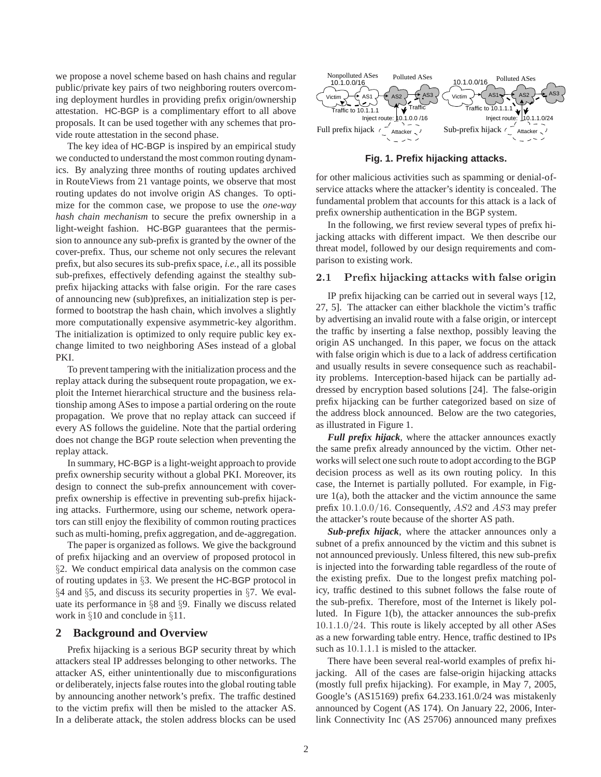we propose a novel scheme based on hash chains and regular public/private key pairs of two neighboring routers overcoming deployment hurdles in providing prefix origin/ownership attestation. HC-BGP is a complimentary effort to all above proposals. It can be used together with any schemes that provide route attestation in the second phase.

The key idea of HC-BGP is inspired by an empirical study we conducted to understand the most common routing dynamics. By analyzing three months of routing updates archived in RouteViews from 21 vantage points, we observe that most routing updates do not involve origin AS changes. To optimize for the common case, we propose to use the *one-way hash chain mechanism* to secure the prefix ownership in a light-weight fashion. HC-BGP guarantees that the permission to announce any sub-prefix is granted by the owner of the cover-prefix. Thus, our scheme not only secures the relevant prefix, but also secures its sub-prefix space, *i.e.,* all its possible sub-prefixes, effectively defending against the stealthy subprefix hijacking attacks with false origin. For the rare cases of announcing new (sub)prefixes, an initialization step is performed to bootstrap the hash chain, which involves a slightly more computationally expensive asymmetric-key algorithm. The initialization is optimized to only require public key exchange limited to two neighboring ASes instead of a global PKI.

To prevent tampering with the initialization process and the replay attack during the subsequent route propagation, we exploit the Internet hierarchical structure and the business relationship among ASes to impose a partial ordering on the route propagation. We prove that no replay attack can succeed if every AS follows the guideline. Note that the partial ordering does not change the BGP route selection when preventing the replay attack.

In summary, HC-BGP is a light-weight approach to provide prefix ownership security without a global PKI. Moreover, its design to connect the sub-prefix announcement with coverprefix ownership is effective in preventing sub-prefix hijacking attacks. Furthermore, using our scheme, network operators can still enjoy the flexibility of common routing practices such as multi-homing, prefix aggregation, and de-aggregation.

The paper is organized as follows. We give the background of prefix hijacking and an overview of proposed protocol in §2. We conduct empirical data analysis on the common case of routing updates in §3. We present the HC-BGP protocol in §4 and §5, and discuss its security properties in §7. We evaluate its performance in §8 and §9. Finally we discuss related work in §10 and conclude in §11.

# **2 Background and Overview**

Prefix hijacking is a serious BGP security threat by which attackers steal IP addresses belonging to other networks. The attacker AS, either unintentionally due to misconfigurations or deliberately, injects false routes into the global routing table by announcing another network's prefix. The traffic destined to the victim prefix will then be misled to the attacker AS. In a deliberate attack, the stolen address blocks can be used



**Fig. 1. Prefix hijacking attacks.**

for other malicious activities such as spamming or denial-ofservice attacks where the attacker's identity is concealed. The fundamental problem that accounts for this attack is a lack of prefix ownership authentication in the BGP system.

In the following, we first review several types of prefix hijacking attacks with different impact. We then describe our threat model, followed by our design requirements and comparison to existing work.

# 2.1 Prefix hijacking attacks with false origin

IP prefix hijacking can be carried out in several ways [12, 27, 5]. The attacker can either blackhole the victim's traffic by advertising an invalid route with a false origin, or intercept the traffic by inserting a false nexthop, possibly leaving the origin AS unchanged. In this paper, we focus on the attack with false origin which is due to a lack of address certification and usually results in severe consequence such as reachability problems. Interception-based hijack can be partially addressed by encryption based solutions [24]. The false-origin prefix hijacking can be further categorized based on size of the address block announced. Below are the two categories, as illustrated in Figure 1.

*Full prefix hijack*, where the attacker announces exactly the same prefix already announced by the victim. Other networks will select one such route to adopt according to the BGP decision process as well as its own routing policy. In this case, the Internet is partially polluted. For example, in Figure  $1(a)$ , both the attacker and the victim announce the same prefix 10.1.0.0/16. Consequently, AS2 and AS3 may prefer the attacker's route because of the shorter AS path.

*Sub-prefix hijack*, where the attacker announces only a subnet of a prefix announced by the victim and this subnet is not announced previously. Unless filtered, this new sub-prefix is injected into the forwarding table regardless of the route of the existing prefix. Due to the longest prefix matching policy, traffic destined to this subnet follows the false route of the sub-prefix. Therefore, most of the Internet is likely polluted. In Figure 1(b), the attacker announces the sub-prefix 10.1.1.0/24. This route is likely accepted by all other ASes as a new forwarding table entry. Hence, traffic destined to IPs such as  $10.1.1.1$  is misled to the attacker.

There have been several real-world examples of prefix hijacking. All of the cases are false-origin hijacking attacks (mostly full prefix hijacking). For example, in May 7, 2005, Google's (AS15169) prefix 64.233.161.0/24 was mistakenly announced by Cogent (AS 174). On January 22, 2006, Interlink Connectivity Inc (AS 25706) announced many prefixes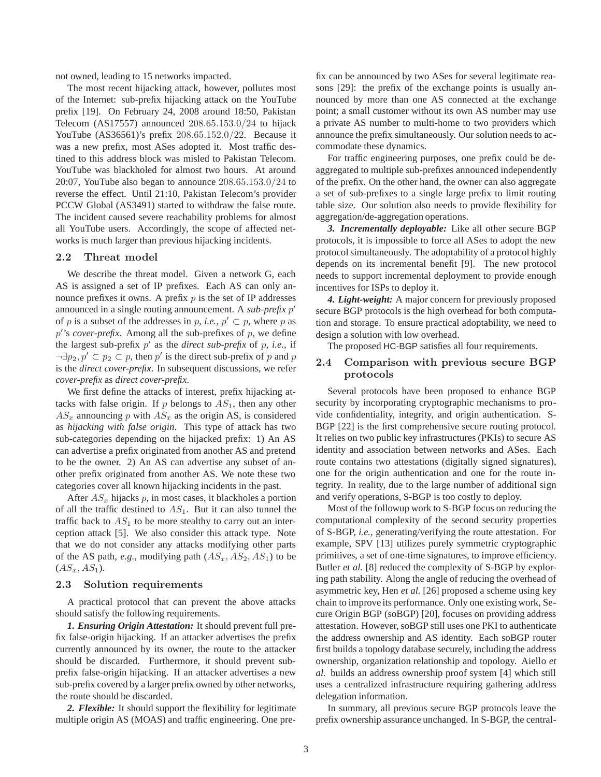not owned, leading to 15 networks impacted.

The most recent hijacking attack, however, pollutes most of the Internet: sub-prefix hijacking attack on the YouTube prefix [19]. On February 24, 2008 around 18:50, Pakistan Telecom (AS17557) announced 208.65.153.0/24 to hijack YouTube (AS36561)'s prefix 208.65.152.0/22. Because it was a new prefix, most ASes adopted it. Most traffic destined to this address block was misled to Pakistan Telecom. YouTube was blackholed for almost two hours. At around 20:07, YouTube also began to announce 208.65.153.0/24 to reverse the effect. Until 21:10, Pakistan Telecom's provider PCCW Global (AS3491) started to withdraw the false route. The incident caused severe reachability problems for almost all YouTube users. Accordingly, the scope of affected networks is much larger than previous hijacking incidents.

#### 2.2 Threat model

We describe the threat model. Given a network G, each AS is assigned a set of IP prefixes. Each AS can only announce prefixes it owns. A prefix  $p$  is the set of IP addresses announced in a single routing announcement. A *sub-prefix* p ′ of p is a subset of the addresses in p, *i.e.*,  $p' \subset p$ , where p as  $p'$ 's *cover-prefix*. Among all the sub-prefixes of  $p$ , we define the largest sub-prefix p ′ as the *direct sub-prefix* of p, *i.e.,* if  $\neg \exists p_2, p' \subset p_2 \subset p$ , then p' is the direct sub-prefix of p and p is the *direct cover-prefix*. In subsequent discussions, we refer *cover-prefix* as *direct cover-prefix*.

We first define the attacks of interest, prefix hijacking attacks with false origin. If  $p$  belongs to  $AS<sub>1</sub>$ , then any other  $AS_x$  announcing p with  $AS_x$  as the origin AS, is considered as *hijacking with false origin*. This type of attack has two sub-categories depending on the hijacked prefix: 1) An AS can advertise a prefix originated from another AS and pretend to be the owner. 2) An AS can advertise any subset of another prefix originated from another AS. We note these two categories cover all known hijacking incidents in the past.

After  $AS_x$  hijacks p, in most cases, it blackholes a portion of all the traffic destined to  $AS<sub>1</sub>$ . But it can also tunnel the traffic back to  $AS_1$  to be more stealthy to carry out an interception attack [5]. We also consider this attack type. Note that we do not consider any attacks modifying other parts of the AS path, *e.g.*, modifying path  $(AS_x, AS_2, AS_1)$  to be  $(AS_x, AS_1).$ 

#### 2.3 Solution requirements

A practical protocol that can prevent the above attacks should satisfy the following requirements.

*1. Ensuring Origin Attestation:* It should prevent full prefix false-origin hijacking. If an attacker advertises the prefix currently announced by its owner, the route to the attacker should be discarded. Furthermore, it should prevent subprefix false-origin hijacking. If an attacker advertises a new sub-prefix covered by a larger prefix owned by other networks, the route should be discarded.

*2. Flexible:* It should support the flexibility for legitimate multiple origin AS (MOAS) and traffic engineering. One pre-

fix can be announced by two ASes for several legitimate reasons [29]: the prefix of the exchange points is usually announced by more than one AS connected at the exchange point; a small customer without its own AS number may use a private AS number to multi-home to two providers which announce the prefix simultaneously. Our solution needs to accommodate these dynamics.

For traffic engineering purposes, one prefix could be deaggregated to multiple sub-prefixes announced independently of the prefix. On the other hand, the owner can also aggregate a set of sub-prefixes to a single large prefix to limit routing table size. Our solution also needs to provide flexibility for aggregation/de-aggregation operations.

*3. Incrementally deployable:* Like all other secure BGP protocols, it is impossible to force all ASes to adopt the new protocol simultaneously. The adoptability of a protocol highly depends on its incremental benefit [9]. The new protocol needs to support incremental deployment to provide enough incentives for ISPs to deploy it.

*4. Light-weight:* A major concern for previously proposed secure BGP protocols is the high overhead for both computation and storage. To ensure practical adoptability, we need to design a solution with low overhead.

The proposed HC-BGP satisfies all four requirements.

# 2.4 Comparison with previous secure BGP protocols

Several protocols have been proposed to enhance BGP security by incorporating cryptographic mechanisms to provide confidentiality, integrity, and origin authentication. S-BGP [22] is the first comprehensive secure routing protocol. It relies on two public key infrastructures (PKIs) to secure AS identity and association between networks and ASes. Each route contains two attestations (digitally signed signatures), one for the origin authentication and one for the route integrity. In reality, due to the large number of additional sign and verify operations, S-BGP is too costly to deploy.

Most of the followup work to S-BGP focus on reducing the computational complexity of the second security properties of S-BGP, *i.e.,* generating/verifying the route attestation. For example, SPV [13] utilizes purely symmetric cryptographic primitives, a set of one-time signatures, to improve efficiency. Butler *et al.* [8] reduced the complexity of S-BGP by exploring path stability. Along the angle of reducing the overhead of asymmetric key, Hen *et al.* [26] proposed a scheme using key chain to improve its performance. Only one existing work, Secure Origin BGP (soBGP) [20], focuses on providing address attestation. However, soBGP still uses one PKI to authenticate the address ownership and AS identity. Each soBGP router first builds a topology database securely, including the address ownership, organization relationship and topology. Aiello *et al.* builds an address ownership proof system [4] which still uses a centralized infrastructure requiring gathering address delegation information.

In summary, all previous secure BGP protocols leave the prefix ownership assurance unchanged. In S-BGP, the central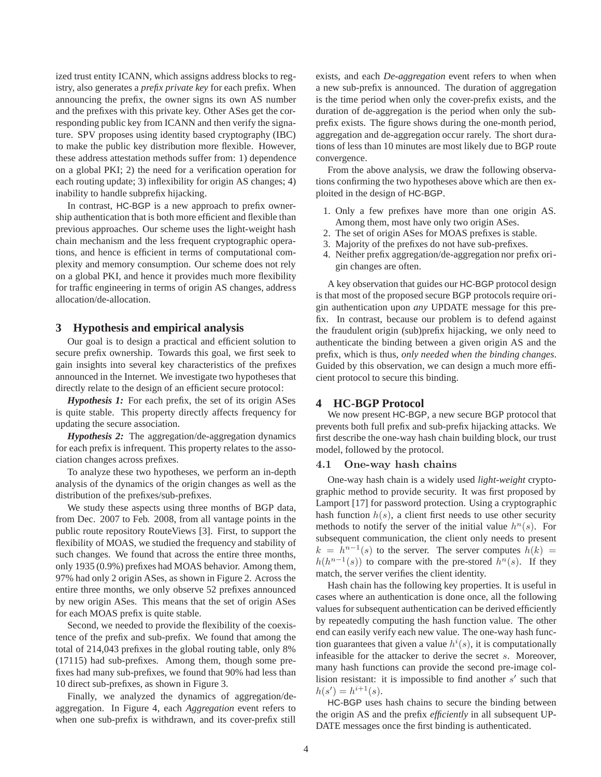ized trust entity ICANN, which assigns address blocks to registry, also generates a *prefix private key* for each prefix. When announcing the prefix, the owner signs its own AS number and the prefixes with this private key. Other ASes get the corresponding public key from ICANN and then verify the signature. SPV proposes using identity based cryptography (IBC) to make the public key distribution more flexible. However, these address attestation methods suffer from: 1) dependence on a global PKI; 2) the need for a verification operation for each routing update; 3) inflexibility for origin AS changes; 4) inability to handle subprefix hijacking.

In contrast, HC-BGP is a new approach to prefix ownership authentication that is both more efficient and flexible than previous approaches. Our scheme uses the light-weight hash chain mechanism and the less frequent cryptographic operations, and hence is efficient in terms of computational complexity and memory consumption. Our scheme does not rely on a global PKI, and hence it provides much more flexibility for traffic engineering in terms of origin AS changes, address allocation/de-allocation.

# **3 Hypothesis and empirical analysis**

Our goal is to design a practical and efficient solution to secure prefix ownership. Towards this goal, we first seek to gain insights into several key characteristics of the prefixes announced in the Internet. We investigate two hypotheses that directly relate to the design of an efficient secure protocol:

*Hypothesis 1:* For each prefix, the set of its origin ASes is quite stable. This property directly affects frequency for updating the secure association.

*Hypothesis 2:* The aggregation/de-aggregation dynamics for each prefix is infrequent. This property relates to the association changes across prefixes.

To analyze these two hypotheses, we perform an in-depth analysis of the dynamics of the origin changes as well as the distribution of the prefixes/sub-prefixes.

We study these aspects using three months of BGP data, from Dec. 2007 to Feb. 2008, from all vantage points in the public route repository RouteViews [3]. First, to support the flexibility of MOAS, we studied the frequency and stability of such changes. We found that across the entire three months, only 1935 (0.9%) prefixes had MOAS behavior. Among them, 97% had only 2 origin ASes, as shown in Figure 2. Across the entire three months, we only observe 52 prefixes announced by new origin ASes. This means that the set of origin ASes for each MOAS prefix is quite stable.

Second, we needed to provide the flexibility of the coexistence of the prefix and sub-prefix. We found that among the total of 214,043 prefixes in the global routing table, only 8% (17115) had sub-prefixes. Among them, though some prefixes had many sub-prefixes, we found that 90% had less than 10 direct sub-prefixes, as shown in Figure 3.

Finally, we analyzed the dynamics of aggregation/deaggregation. In Figure 4, each *Aggregation* event refers to when one sub-prefix is withdrawn, and its cover-prefix still exists, and each *De-aggregation* event refers to when when a new sub-prefix is announced. The duration of aggregation is the time period when only the cover-prefix exists, and the duration of de-aggregation is the period when only the subprefix exists. The figure shows during the one-month period, aggregation and de-aggregation occur rarely. The short durations of less than 10 minutes are most likely due to BGP route convergence.

From the above analysis, we draw the following observations confirming the two hypotheses above which are then exploited in the design of HC-BGP.

- 1. Only a few prefixes have more than one origin AS. Among them, most have only two origin ASes.
- 2. The set of origin ASes for MOAS prefixes is stable.
- 3. Majority of the prefixes do not have sub-prefixes.
- 4. Neither prefix aggregation/de-aggregation nor prefix origin changes are often.

A key observation that guides our HC-BGP protocol design is that most of the proposed secure BGP protocols require origin authentication upon *any* UPDATE message for this prefix. In contrast, because our problem is to defend against the fraudulent origin (sub)prefix hijacking, we only need to authenticate the binding between a given origin AS and the prefix, which is thus, *only needed when the binding changes*. Guided by this observation, we can design a much more efficient protocol to secure this binding.

### **4 HC-BGP Protocol**

We now present HC-BGP, a new secure BGP protocol that prevents both full prefix and sub-prefix hijacking attacks. We first describe the one-way hash chain building block, our trust model, followed by the protocol.

# 4.1 One-way hash chains

One-way hash chain is a widely used *light-weight* cryptographic method to provide security. It was first proposed by Lamport [17] for password protection. Using a cryptographic hash function  $h(s)$ , a client first needs to use other security methods to notify the server of the initial value  $h^n(s)$ . For subsequent communication, the client only needs to present  $k = h^{n-1}(s)$  to the server. The server computes  $h(k) =$  $h(h^{n-1}(s))$  to compare with the pre-stored  $h^{n}(s)$ . If they match, the server verifies the client identity.

Hash chain has the following key properties. It is useful in cases where an authentication is done once, all the following values for subsequent authentication can be derived efficiently by repeatedly computing the hash function value. The other end can easily verify each new value. The one-way hash function guarantees that given a value  $h^{i}(s)$ , it is computationally infeasible for the attacker to derive the secret s. Moreover, many hash functions can provide the second pre-image collision resistant: it is impossible to find another  $s'$  such that  $h(s') = h^{i+1}(s).$ 

HC-BGP uses hash chains to secure the binding between the origin AS and the prefix *efficiently* in all subsequent UP-DATE messages once the first binding is authenticated.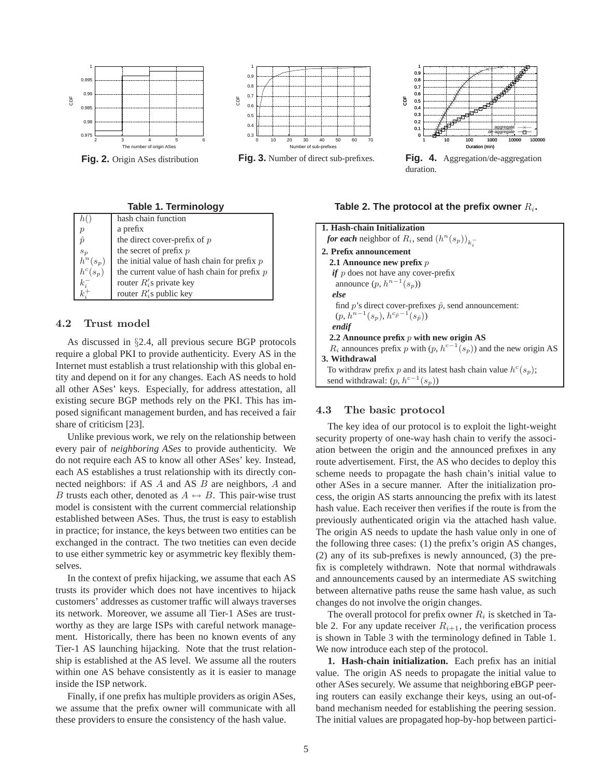

**Fig. 2.** Origin ASes distribution



**Fig. 3.** Number of direct sub-prefixes.



**Fig. 4.** Aggregation/de-aggregation duration.

# **Table 1. Terminology**

|               | hash chain function                            |
|---------------|------------------------------------------------|
| $\mathcal{p}$ | a prefix                                       |
| $\hat{p}$     | the direct cover-prefix of $p$                 |
| $s_p$         | the secret of prefix $p$                       |
| $h^n(s_p)$    | the initial value of hash chain for prefix $p$ |
| $h^c(s_p)$    | the current value of hash chain for prefix $p$ |
| $k_i^-$       | router $R_i$ 's private key                    |
| $k^{\pm}$     | router $R_i$ 's public key                     |

# 4.2 Trust model

As discussed in §2.4, all previous secure BGP protocols require a global PKI to provide authenticity. Every AS in the Internet must establish a trust relationship with this global entity and depend on it for any changes. Each AS needs to hold all other ASes' keys. Especially, for address attestation, all existing secure BGP methods rely on the PKI. This has imposed significant management burden, and has received a fair share of criticism [23].

Unlike previous work, we rely on the relationship between every pair of *neighboring ASes* to provide authenticity. We do not require each AS to know all other ASes' key. Instead, each AS establishes a trust relationship with its directly connected neighbors: if AS A and AS B are neighbors, A and B trusts each other, denoted as  $A \leftrightarrow B$ . This pair-wise trust model is consistent with the current commercial relationship established between ASes. Thus, the trust is easy to establish in practice; for instance, the keys between two entities can be exchanged in the contract. The two tnetities can even decide to use either symmetric key or asymmetric key flexibly themselves.

In the context of prefix hijacking, we assume that each AS trusts its provider which does not have incentives to hijack customers' addresses as customer traffic will always traverses its network. Moreover, we assume all Tier-1 ASes are trustworthy as they are large ISPs with careful network management. Historically, there has been no known events of any Tier-1 AS launching hijacking. Note that the trust relationship is established at the AS level. We assume all the routers within one AS behave consistently as it is easier to manage inside the ISP network.

Finally, if one prefix has multiple providers as origin ASes, we assume that the prefix owner will communicate with all these providers to ensure the consistency of the hash value.

# Table 2. The protocol at the prefix owner  $R_i.$

| 1. Hash-chain Initialization                                            |  |
|-------------------------------------------------------------------------|--|
| <b>for each</b> neighbor of $R_i$ , send $(h^n(s_p))_{k}$ .             |  |
| 2. Prefix announcement                                                  |  |
| 2.1 Announce new prefix $p$                                             |  |
| <i>if</i> $p$ does not have any cover-prefix                            |  |
| announce $(p, h^{n-1}(s_p))$                                            |  |
| else                                                                    |  |
| find p's direct cover-prefixes $\hat{p}$ , send announcement:           |  |
| $(p, h^{n-1}(s_n), h^{c_{\hat{p}}-1}(s_{\hat{p}}))$                     |  |
| endif                                                                   |  |
| 2.2 Announce prefix $p$ with new origin AS                              |  |
| $R_i$ announces prefix p with $(p, h^{c-1}(s_p))$ and the new origin AS |  |
| 3. Withdrawal                                                           |  |
| To withdraw prefix p and its latest hash chain value $h^{c}(s_{p});$    |  |
| send withdrawal: $(p, h^{c-1}(s_p))$                                    |  |

# 4.3 The basic protocol

The key idea of our protocol is to exploit the light-weight security property of one-way hash chain to verify the association between the origin and the announced prefixes in any route advertisement. First, the AS who decides to deploy this scheme needs to propagate the hash chain's initial value to other ASes in a secure manner. After the initialization process, the origin AS starts announcing the prefix with its latest hash value. Each receiver then verifies if the route is from the previously authenticated origin via the attached hash value. The origin AS needs to update the hash value only in one of the following three cases: (1) the prefix's origin AS changes, (2) any of its sub-prefixes is newly announced, (3) the prefix is completely withdrawn. Note that normal withdrawals and announcements caused by an intermediate AS switching between alternative paths reuse the same hash value, as such changes do not involve the origin changes.

The overall protocol for prefix owner  $R_i$  is sketched in Table 2. For any update receiver  $R_{i+1}$ , the verification process is shown in Table 3 with the terminology defined in Table 1. We now introduce each step of the protocol.

**1. Hash-chain initialization.** Each prefix has an initial value. The origin AS needs to propagate the initial value to other ASes securely. We assume that neighboring eBGP peering routers can easily exchange their keys, using an out-ofband mechanism needed for establishing the peering session. The initial values are propagated hop-by-hop between partici-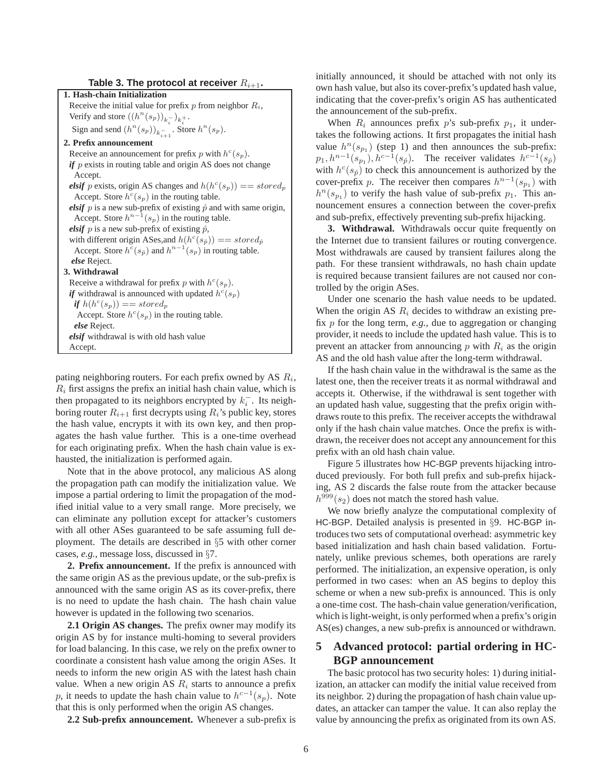**Table 3. The protocol at receiver**  $R_{i+1}$ .

| 1. Hash-chain Initialization                                                     |  |
|----------------------------------------------------------------------------------|--|
| Receive the initial value for prefix p from neighbor $R_i$ ,                     |  |
| Verify and store $((h^n(s_p))_{k_s^-})_{k_s^+}$ .                                |  |
| Sign and send $(h^n(s_p))_{k_{i+1}^-}$ . Store $h^n(s_p)$ .                      |  |
| 2. Prefix announcement                                                           |  |
| Receive an announcement for prefix p with $h^{c}(s_p)$ .                         |  |
| <i>if</i> $p$ exists in routing table and origin AS does not change              |  |
| Accept.                                                                          |  |
| elsif p exists, origin AS changes and $h(h^c(s_p)) == stored_p$                  |  |
| Accept. Store $h^{c}(s_p)$ in the routing table.                                 |  |
| <i>elsif</i> $p$ is a new sub-prefix of existing $\hat{p}$ and with same origin, |  |
| Accept. Store $h^{n-1}(s_p)$ in the routing table.                               |  |
| <i>elsif</i> p is a new sub-prefix of existing $\hat{p}$ ,                       |  |
| with different origin ASes, and $h(h^c(s_{\hat{p}})) == stored_{\hat{p}}$        |  |
| Accept. Store $h^{c}(s_{\hat{p}})$ and $h^{n-1}(s_p)$ in routing table.          |  |
| else Reject.                                                                     |  |
| 3. Withdrawal                                                                    |  |
| Receive a withdrawal for prefix p with $h^{c}(s_p)$ .                            |  |
| <i>if</i> withdrawal is announced with updated $h^c(s_p)$                        |  |
| if $h(h^c(s_p)) == stored_p$                                                     |  |
| Accept. Store $h^{c}(s_p)$ in the routing table.                                 |  |
| else Reject.                                                                     |  |
| <i>elsif</i> withdrawal is with old hash value                                   |  |
| Accept.                                                                          |  |

pating neighboring routers. For each prefix owned by AS  $R_i$ ,  $R_i$  first assigns the prefix an initial hash chain value, which is then propagated to its neighbors encrypted by  $k_i^-$ . Its neighboring router  $R_{i+1}$  first decrypts using  $R_i$ 's public key, stores the hash value, encrypts it with its own key, and then propagates the hash value further. This is a one-time overhead for each originating prefix. When the hash chain value is exhausted, the initialization is performed again.

Note that in the above protocol, any malicious AS along the propagation path can modify the initialization value. We impose a partial ordering to limit the propagation of the modified initial value to a very small range. More precisely, we can eliminate any pollution except for attacker's customers with all other ASes guaranteed to be safe assuming full deployment. The details are described in §5 with other corner cases, *e.g.,* message loss, discussed in §7.

**2. Prefix announcement.** If the prefix is announced with the same origin AS as the previous update, or the sub-prefix is announced with the same origin AS as its cover-prefix, there is no need to update the hash chain. The hash chain value however is updated in the following two scenarios.

**2.1 Origin AS changes.** The prefix owner may modify its origin AS by for instance multi-homing to several providers for load balancing. In this case, we rely on the prefix owner to coordinate a consistent hash value among the origin ASes. It needs to inform the new origin AS with the latest hash chain value. When a new origin AS  $R_i$  starts to announce a prefix p, it needs to update the hash chain value to  $h^{c-1}(s_p)$ . Note that this is only performed when the origin AS changes.

**2.2 Sub-prefix announcement.** Whenever a sub-prefix is

initially announced, it should be attached with not only its own hash value, but also its cover-prefix's updated hash value, indicating that the cover-prefix's origin AS has authenticated the announcement of the sub-prefix.

When  $R_i$  announces prefix p's sub-prefix  $p_1$ , it undertakes the following actions. It first propagates the initial hash value  $h^{n}(s_{p_1})$  (step 1) and then announces the sub-prefix:  $p_1, h^{n-1}(s_{p_1}), h^{c-1}(s_{\hat{p}})$ . The receiver validates  $h^{c-1}(s_{\hat{p}})$ with  $h^c(s_{\hat{p}})$  to check this announcement is authorized by the cover-prefix p. The receiver then compares  $h^{n-1}(s_{p_1})$  with  $h^{n}(s_{p_1})$  to verify the hash value of sub-prefix  $p_1$ . This announcement ensures a connection between the cover-prefix and sub-prefix, effectively preventing sub-prefix hijacking.

**3. Withdrawal.** Withdrawals occur quite frequently on the Internet due to transient failures or routing convergence. Most withdrawals are caused by transient failures along the path. For these transient withdrawals, no hash chain update is required because transient failures are not caused nor controlled by the origin ASes.

Under one scenario the hash value needs to be updated. When the origin AS  $R_i$  decides to withdraw an existing prefix p for the long term, *e.g.,* due to aggregation or changing provider, it needs to include the updated hash value. This is to prevent an attacker from announcing p with  $R_i$  as the origin AS and the old hash value after the long-term withdrawal.

If the hash chain value in the withdrawal is the same as the latest one, then the receiver treats it as normal withdrawal and accepts it. Otherwise, if the withdrawal is sent together with an updated hash value, suggesting that the prefix origin withdraws route to this prefix. The receiver accepts the withdrawal only if the hash chain value matches. Once the prefix is withdrawn, the receiver does not accept any announcement for this prefix with an old hash chain value.

Figure 5 illustrates how HC-BGP prevents hijacking introduced previously. For both full prefix and sub-prefix hijacking, AS 2 discards the false route from the attacker because  $h^{999}(s_2)$  does not match the stored hash value.

We now briefly analyze the computational complexity of HC-BGP. Detailed analysis is presented in §9. HC-BGP introduces two sets of computational overhead: asymmetric key based initialization and hash chain based validation. Fortunately, unlike previous schemes, both operations are rarely performed. The initialization, an expensive operation, is only performed in two cases: when an AS begins to deploy this scheme or when a new sub-prefix is announced. This is only a one-time cost. The hash-chain value generation/verification, which is light-weight, is only performed when a prefix's origin AS(es) changes, a new sub-prefix is announced or withdrawn.

# **5 Advanced protocol: partial ordering in HC-BGP announcement**

The basic protocol has two security holes: 1) during initialization, an attacker can modify the initial value received from its neighbor. 2) during the propagation of hash chain value updates, an attacker can tamper the value. It can also replay the value by announcing the prefix as originated from its own AS.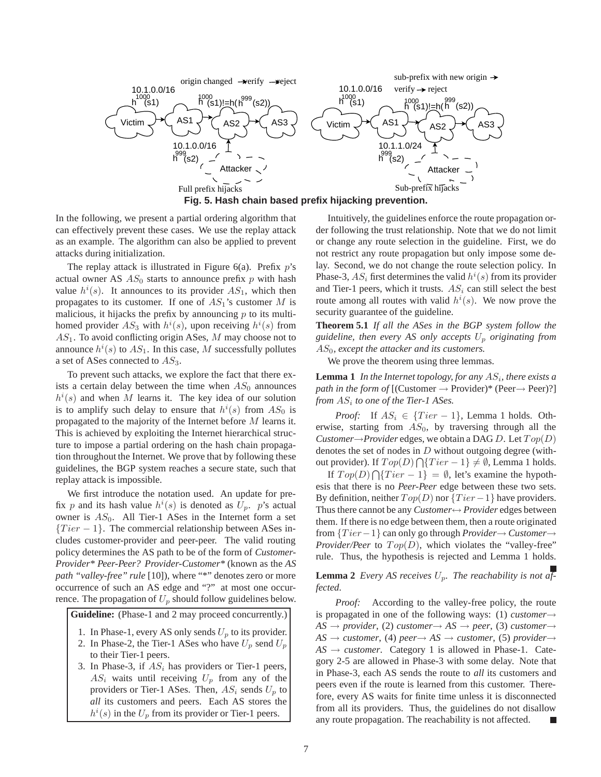

In the following, we present a partial ordering algorithm that can effectively prevent these cases. We use the replay attack as an example. The algorithm can also be applied to prevent attacks during initialization.

The replay attack is illustrated in Figure  $6(a)$ . Prefix  $p$ 's actual owner AS  $AS_0$  starts to announce prefix p with hash value  $h^{i}(s)$ . It announces to its provider  $AS_1$ , which then propagates to its customer. If one of  $AS_1$ 's customer M is malicious, it hijacks the prefix by announcing  $p$  to its multihomed provider  $AS_3$  with  $h^i(s)$ , upon receiving  $h^i(s)$  from  $AS<sub>1</sub>$ . To avoid conflicting origin ASes, M may choose not to announce  $h^i(s)$  to  $AS_1$ . In this case, M successfully pollutes a set of ASes connected to  $AS_3$ .

To prevent such attacks, we explore the fact that there exists a certain delay between the time when  $AS_0$  announces  $h^{i}(s)$  and when M learns it. The key idea of our solution is to amplify such delay to ensure that  $h^{i}(s)$  from  $AS_0$  is propagated to the majority of the Internet before M learns it. This is achieved by exploiting the Internet hierarchical structure to impose a partial ordering on the hash chain propagation throughout the Internet. We prove that by following these guidelines, the BGP system reaches a secure state, such that replay attack is impossible.

We first introduce the notation used. An update for prefix p and its hash value  $h^{i}(s)$  is denoted as  $U_p$ . p's actual owner is  $AS_0$ . All Tier-1 ASes in the Internet form a set  ${Tier-1}$ . The commercial relationship between ASes includes customer-provider and peer-peer. The valid routing policy determines the AS path to be of the form of *Customer-Provider\* Peer-Peer? Provider-Customer\** (known as the *AS path "valley-free" rule* [10]), where "\*" denotes zero or more occurrence of such an AS edge and "?" at most one occurrence. The propagation of  $U_p$  should follow guidelines below.

Guideline: (Phase-1 and 2 may proceed concurrently.)

- 1. In Phase-1, every AS only sends  $U_p$  to its provider.
- 2. In Phase-2, the Tier-1 ASes who have  $U_p$  send  $U_p$ to their Tier-1 peers.
- 3. In Phase-3, if  $AS<sub>i</sub>$  has providers or Tier-1 peers,  $AS_i$  waits until receiving  $U_p$  from any of the providers or Tier-1 ASes. Then,  $AS_i$  sends  $U_p$  to *all* its customers and peers. Each AS stores the  $h^{i}(s)$  in the  $U_{p}$  from its provider or Tier-1 peers.

Intuitively, the guidelines enforce the route propagation order following the trust relationship. Note that we do not limit or change any route selection in the guideline. First, we do not restrict any route propagation but only impose some delay. Second, we do not change the route selection policy. In Phase-3,  $AS_i$  first determines the valid  $h^i(s)$  from its provider and Tier-1 peers, which it trusts.  $AS_i$  can still select the best route among all routes with valid  $h^{i}(s)$ . We now prove the security guarantee of the guideline.

**Theorem 5.1** *If all the ASes in the BGP system follow the guideline, then every AS only accepts* U<sup>p</sup> *originating from* AS0*, except the attacker and its customers.*

We prove the theorem using three lemmas.

**Lemma 1** *In the Internet topology, for any* AS<sup>i</sup> *, there exists a path in the form of*  $[(Customer \rightarrow Providence)^* (Peer \rightarrow Peer)?]$ *from* AS<sup>i</sup> *to one of the Tier-1 ASes.*

*Proof:* If  $AS_i \in \{Tier - 1\}$ , Lemma 1 holds. Otherwise, starting from  $AS_0$ , by traversing through all the *Customer* $\rightarrow$ *Provider* edges, we obtain a DAG D. Let  $Top(D)$ denotes the set of nodes in  $D$  without outgoing degree (without provider). If  $Top(D) \bigcap {Tier-1} \neq \emptyset$ , Lemma 1 holds.

If  $Top(D) \bigcap \{Tier-1\} = \emptyset$ , let's examine the hypothesis that there is no *Peer-Peer* edge between these two sets. By definition, neither  $Top(D)$  nor  $\{Tier-1\}$  have providers. Thus there cannot be any *Customer*↔ *Provider* edges between them. If there is no edge between them, then a route originated from {Tier−1} can only go through *Provider*→ *Customer*→ *Provider/Peer* to  $Top(D)$ , which violates the "valley-free" rule. Thus, the hypothesis is rejected and Lemma 1 holds.

**Lemma 2** *Every AS receives*  $U_p$ *. The reachability is not affected.*

*Proof:* According to the valley-free policy, the route is propagated in one of the following ways: (1) *customer*→  $AS \rightarrow provider$ , (2) *customer* $\rightarrow AS \rightarrow peer$ , (3) *customer* $\rightarrow$  $AS \rightarrow customer$ , (4) *peer* $\rightarrow AS \rightarrow customer$ , (5) *provider* $\rightarrow$  $AS \rightarrow customer$ . Category 1 is allowed in Phase-1. Category 2-5 are allowed in Phase-3 with some delay. Note that in Phase-3, each AS sends the route to *all* its customers and peers even if the route is learned from this customer. Therefore, every AS waits for finite time unless it is disconnected from all its providers. Thus, the guidelines do not disallow any route propagation. The reachability is not affected.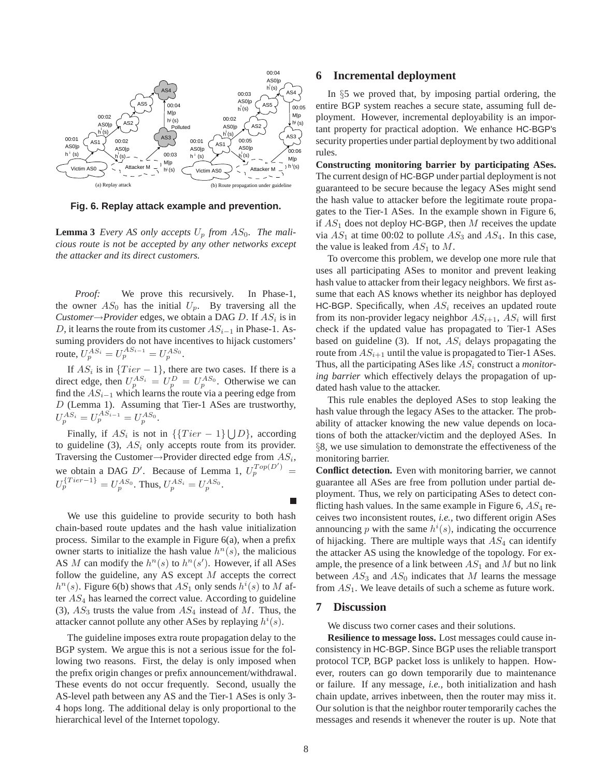

**Fig. 6. Replay attack example and prevention.**

**Lemma 3** *Every AS only accepts*  $U_p$  *from AS*<sub>0</sub>*. The malicious route is not be accepted by any other networks except the attacker and its direct customers.*

*Proof:* We prove this recursively. In Phase-1, the owner  $AS_0$  has the initial  $U_p$ . By traversing all the *Customer* $\rightarrow$ *Provider* edges, we obtain a DAG D. If  $AS_i$  is in D, it learns the route from its customer  $AS_{i-1}$  in Phase-1. Assuming providers do not have incentives to hijack customers' route,  $U_p^{AS_i} = U_p^{AS_{i-1}} = U_p^{AS_0}$ .

If  $AS_i$  is in  $\{Tier - 1\}$ , there are two cases. If there is a direct edge, then  $U_p^{AS_i} = U_p^D = U_p^{AS_0}$ . Otherwise we can find the  $AS_{i-1}$  which learns the route via a peering edge from D (Lemma 1). Assuming that Tier-1 ASes are trustworthy,  $U_p^{AS_i} = U_p^{AS_{i-1}} = U_p^{AS_0}.$ 

Finally, if  $AS_i$  is not in  $\{\{Tier-1\}\bigcup D\}$ , according to guideline (3),  $AS_i$  only accepts route from its provider. Traversing the Customer $\rightarrow$ Provider directed edge from  $AS_i$ , we obtain a DAG D'. Because of Lemma 1,  $U_p^{Top(D')}$  =  $U_p^{\{Tier-1\}} = U_p^{AS_0}$ . Thus,  $U_p^{AS_i} = U_p^{AS_0}$ .

We use this guideline to provide security to both hash chain-based route updates and the hash value initialization process. Similar to the example in Figure 6(a), when a prefix owner starts to initialize the hash value  $h<sup>n</sup>(s)$ , the malicious AS M can modify the  $h^n(s)$  to  $h^n(s')$ . However, if all ASes follow the guideline, any AS except  $M$  accepts the correct  $h^{n}(s)$ . Figure 6(b) shows that  $AS_1$  only sends  $h^{i}(s)$  to M after  $AS<sub>4</sub>$  has learned the correct value. According to guideline (3),  $AS_3$  trusts the value from  $AS_4$  instead of M. Thus, the attacker cannot pollute any other ASes by replaying  $h^{i}(s)$ .

The guideline imposes extra route propagation delay to the BGP system. We argue this is not a serious issue for the following two reasons. First, the delay is only imposed when the prefix origin changes or prefix announcement/withdrawal. These events do not occur frequently. Second, usually the AS-level path between any AS and the Tier-1 ASes is only 3- 4 hops long. The additional delay is only proportional to the hierarchical level of the Internet topology.

# **6 Incremental deployment**

In §5 we proved that, by imposing partial ordering, the entire BGP system reaches a secure state, assuming full deployment. However, incremental deployability is an important property for practical adoption. We enhance HC-BGP's security properties under partial deployment by two additional rules.

**Constructing monitoring barrier by participating ASes.** The current design of HC-BGP under partial deployment is not guaranteed to be secure because the legacy ASes might send the hash value to attacker before the legitimate route propagates to the Tier-1 ASes. In the example shown in Figure 6, if  $AS_1$  does not deploy HC-BGP, then M receives the update via  $AS_1$  at time 00:02 to pollute  $AS_3$  and  $AS_4$ . In this case, the value is leaked from  $AS_1$  to M.

To overcome this problem, we develop one more rule that uses all participating ASes to monitor and prevent leaking hash value to attacker from their legacy neighbors. We first assume that each AS knows whether its neighbor has deployed HC-BGP. Specifically, when  $AS_i$  receives an updated route from its non-provider legacy neighbor  $AS_{i+1}$ ,  $AS_i$  will first check if the updated value has propagated to Tier-1 ASes based on guideline (3). If not,  $AS_i$  delays propagating the route from  $AS_{i+1}$  until the value is propagated to Tier-1 ASes. Thus, all the participating ASes like  $AS_i$  construct a *monitoring barrier* which effectively delays the propagation of updated hash value to the attacker.

This rule enables the deployed ASes to stop leaking the hash value through the legacy ASes to the attacker. The probability of attacker knowing the new value depends on locations of both the attacker/victim and the deployed ASes. In §8, we use simulation to demonstrate the effectiveness of the monitoring barrier.

**Conflict detection.** Even with monitoring barrier, we cannot guarantee all ASes are free from pollution under partial deployment. Thus, we rely on participating ASes to detect conflicting hash values. In the same example in Figure 6,  $AS_4$  receives two inconsistent routes, *i.e.,* two different origin ASes announcing p with the same  $h^{i}(s)$ , indicating the occurrence of hijacking. There are multiple ways that  $AS_4$  can identify the attacker AS using the knowledge of the topology. For example, the presence of a link between  $AS_1$  and M but no link between  $AS_3$  and  $AS_0$  indicates that M learns the message from  $AS_1$ . We leave details of such a scheme as future work.

# **7 Discussion**

We discuss two corner cases and their solutions.

**Resilience to message loss.** Lost messages could cause inconsistency in HC-BGP. Since BGP uses the reliable transport protocol TCP, BGP packet loss is unlikely to happen. However, routers can go down temporarily due to maintenance or failure. If any message, *i.e.,* both initialization and hash chain update, arrives inbetween, then the router may miss it. Our solution is that the neighbor router temporarily caches the messages and resends it whenever the router is up. Note that

г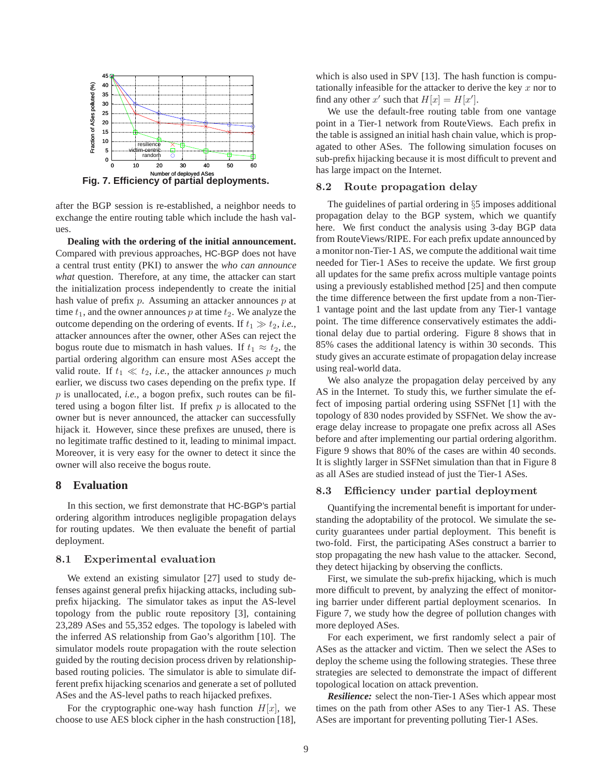

after the BGP session is re-established, a neighbor needs to exchange the entire routing table which include the hash values.

**Dealing with the ordering of the initial announcement.** Compared with previous approaches, HC-BGP does not have a central trust entity (PKI) to answer the *who can announce what* question. Therefore, at any time, the attacker can start the initialization process independently to create the initial hash value of prefix  $p$ . Assuming an attacker announces  $p$  at time  $t_1$ , and the owner announces p at time  $t_2$ . We analyze the outcome depending on the ordering of events. If  $t_1 \gg t_2$ , *i.e.*, attacker announces after the owner, other ASes can reject the bogus route due to mismatch in hash values. If  $t_1 \approx t_2$ , the partial ordering algorithm can ensure most ASes accept the valid route. If  $t_1 \ll t_2$ , *i.e.*, the attacker announces p much earlier, we discuss two cases depending on the prefix type. If p is unallocated, *i.e.,* a bogon prefix, such routes can be filtered using a bogon filter list. If prefix  $p$  is allocated to the owner but is never announced, the attacker can successfully hijack it. However, since these prefixes are unused, there is no legitimate traffic destined to it, leading to minimal impact. Moreover, it is very easy for the owner to detect it since the owner will also receive the bogus route.

# **8 Evaluation**

In this section, we first demonstrate that HC-BGP's partial ordering algorithm introduces negligible propagation delays for routing updates. We then evaluate the benefit of partial deployment.

#### 8.1 Experimental evaluation

We extend an existing simulator [27] used to study defenses against general prefix hijacking attacks, including subprefix hijacking. The simulator takes as input the AS-level topology from the public route repository [3], containing 23,289 ASes and 55,352 edges. The topology is labeled with the inferred AS relationship from Gao's algorithm [10]. The simulator models route propagation with the route selection guided by the routing decision process driven by relationshipbased routing policies. The simulator is able to simulate different prefix hijacking scenarios and generate a set of polluted ASes and the AS-level paths to reach hijacked prefixes.

For the cryptographic one-way hash function  $H[x]$ , we choose to use AES block cipher in the hash construction [18], which is also used in SPV [13]. The hash function is computationally infeasible for the attacker to derive the key  $x$  nor to find any other x' such that  $H[x] = H[x']$ .

We use the default-free routing table from one vantage point in a Tier-1 network from RouteViews. Each prefix in the table is assigned an initial hash chain value, which is propagated to other ASes. The following simulation focuses on sub-prefix hijacking because it is most difficult to prevent and has large impact on the Internet.

#### 8.2 Route propagation delay

The guidelines of partial ordering in §5 imposes additional propagation delay to the BGP system, which we quantify here. We first conduct the analysis using 3-day BGP data from RouteViews/RIPE. For each prefix update announced by a monitor non-Tier-1 AS, we compute the additional wait time needed for Tier-1 ASes to receive the update. We first group all updates for the same prefix across multiple vantage points using a previously established method [25] and then compute the time difference between the first update from a non-Tier-1 vantage point and the last update from any Tier-1 vantage point. The time difference conservatively estimates the additional delay due to partial ordering. Figure 8 shows that in 85% cases the additional latency is within 30 seconds. This study gives an accurate estimate of propagation delay increase using real-world data.

We also analyze the propagation delay perceived by any AS in the Internet. To study this, we further simulate the effect of imposing partial ordering using SSFNet [1] with the topology of 830 nodes provided by SSFNet. We show the average delay increase to propagate one prefix across all ASes before and after implementing our partial ordering algorithm. Figure 9 shows that 80% of the cases are within 40 seconds. It is slightly larger in SSFNet simulation than that in Figure 8 as all ASes are studied instead of just the Tier-1 ASes.

### 8.3 Efficiency under partial deployment

Quantifying the incremental benefit is important for understanding the adoptability of the protocol. We simulate the security guarantees under partial deployment. This benefit is two-fold. First, the participating ASes construct a barrier to stop propagating the new hash value to the attacker. Second, they detect hijacking by observing the conflicts.

First, we simulate the sub-prefix hijacking, which is much more difficult to prevent, by analyzing the effect of monitoring barrier under different partial deployment scenarios. In Figure 7, we study how the degree of pollution changes with more deployed ASes.

For each experiment, we first randomly select a pair of ASes as the attacker and victim. Then we select the ASes to deploy the scheme using the following strategies. These three strategies are selected to demonstrate the impact of different topological location on attack prevention.

*Resilience:* select the non-Tier-1 ASes which appear most times on the path from other ASes to any Tier-1 AS. These ASes are important for preventing polluting Tier-1 ASes.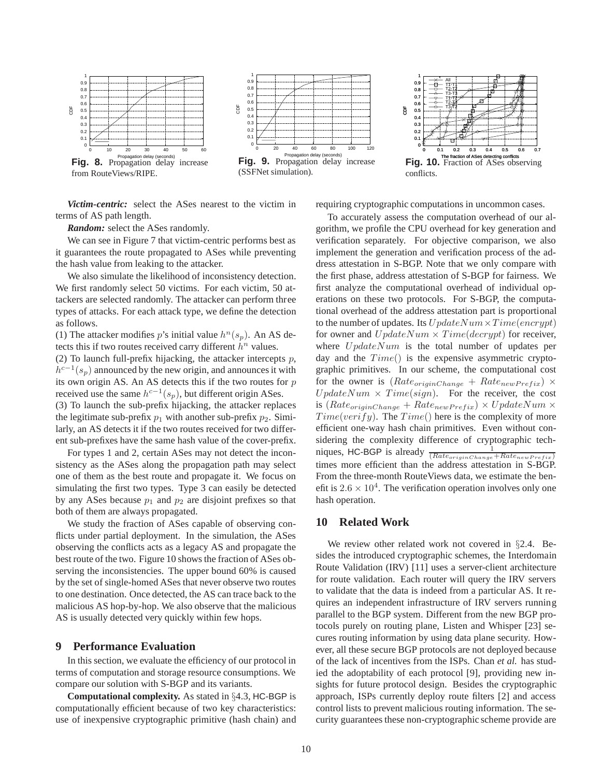

*Victim-centric:* select the ASes nearest to the victim in terms of AS path length.

*Random:* select the ASes randomly.

We can see in Figure 7 that victim-centric performs best as it guarantees the route propagated to ASes while preventing the hash value from leaking to the attacker.

We also simulate the likelihood of inconsistency detection. We first randomly select 50 victims. For each victim, 50 attackers are selected randomly. The attacker can perform three types of attacks. For each attack type, we define the detection as follows.

(1) The attacker modifies p's initial value  $h^n(s_p)$ . An AS detects this if two routes received carry different  $h^n$  values.

(2) To launch full-prefix hijacking, the attacker intercepts  $p$ ,  $h^{c-1}(s_p)$  announced by the new origin, and announces it with its own origin AS. An AS detects this if the two routes for  $p$ received use the same  $h^{c-1}(s_p)$ , but different origin ASes.

(3) To launch the sub-prefix hijacking, the attacker replaces the legitimate sub-prefix  $p_1$  with another sub-prefix  $p_2$ . Similarly, an AS detects it if the two routes received for two different sub-prefixes have the same hash value of the cover-prefix.

For types 1 and 2, certain ASes may not detect the inconsistency as the ASes along the propagation path may select one of them as the best route and propagate it. We focus on simulating the first two types. Type 3 can easily be detected by any ASes because  $p_1$  and  $p_2$  are disjoint prefixes so that both of them are always propagated.

We study the fraction of ASes capable of observing conflicts under partial deployment. In the simulation, the ASes observing the conflicts acts as a legacy AS and propagate the best route of the two. Figure 10 shows the fraction of ASes observing the inconsistencies. The upper bound 60% is caused by the set of single-homed ASes that never observe two routes to one destination. Once detected, the AS can trace back to the malicious AS hop-by-hop. We also observe that the malicious AS is usually detected very quickly within few hops.

# **9 Performance Evaluation**

In this section, we evaluate the efficiency of our protocol in terms of computation and storage resource consumptions. We compare our solution with S-BGP and its variants.

**Computational complexity.** As stated in §4.3, HC-BGP is computationally efficient because of two key characteristics: use of inexpensive cryptographic primitive (hash chain) and



requiring cryptographic computations in uncommon cases.

To accurately assess the computation overhead of our algorithm, we profile the CPU overhead for key generation and verification separately. For objective comparison, we also implement the generation and verification process of the address attestation in S-BGP. Note that we only compare with the first phase, address attestation of S-BGP for fairness. We first analyze the computational overhead of individual operations on these two protocols. For S-BGP, the computational overhead of the address attestation part is proportional to the number of updates. Its  $UpdateNum \times Time(encrypt)$ for owner and  $UpdateNum \times Time (decrypt)$  for receiver, where  $UpdateNum$  is the total number of updates per day and the  $Time()$  is the expensive asymmetric cryptographic primitives. In our scheme, the computational cost for the owner is  $(Rate_{originChange} + Rate_{newPrefix}) \times$  $UpdateNum \times Time(sign)$ . For the receiver, the cost is  $(Rate_{originChange} + Rate_{newPrefix}) \times UpdateNum \times$  $Time(verify)$ . The  $Time()$  here is the complexity of more efficient one-way hash chain primitives. Even without considering the complexity difference of cryptographic techniques, HC-BGP is already  $\frac{1}{(Rate_{originChange} + Rate_{newPrefix})}$ times more efficient than the address attestation in S-BGP. From the three-month RouteViews data, we estimate the benefit is  $2.6 \times 10^4$ . The verification operation involves only one hash operation.

# **10 Related Work**

We review other related work not covered in §2.4. Besides the introduced cryptographic schemes, the Interdomain Route Validation (IRV) [11] uses a server-client architecture for route validation. Each router will query the IRV servers to validate that the data is indeed from a particular AS. It requires an independent infrastructure of IRV servers running parallel to the BGP system. Different from the new BGP protocols purely on routing plane, Listen and Whisper [23] secures routing information by using data plane security. However, all these secure BGP protocols are not deployed because of the lack of incentives from the ISPs. Chan *et al.* has studied the adoptability of each protocol [9], providing new insights for future protocol design. Besides the cryptographic approach, ISPs currently deploy route filters [2] and access control lists to prevent malicious routing information. The security guarantees these non-cryptographic scheme provide are